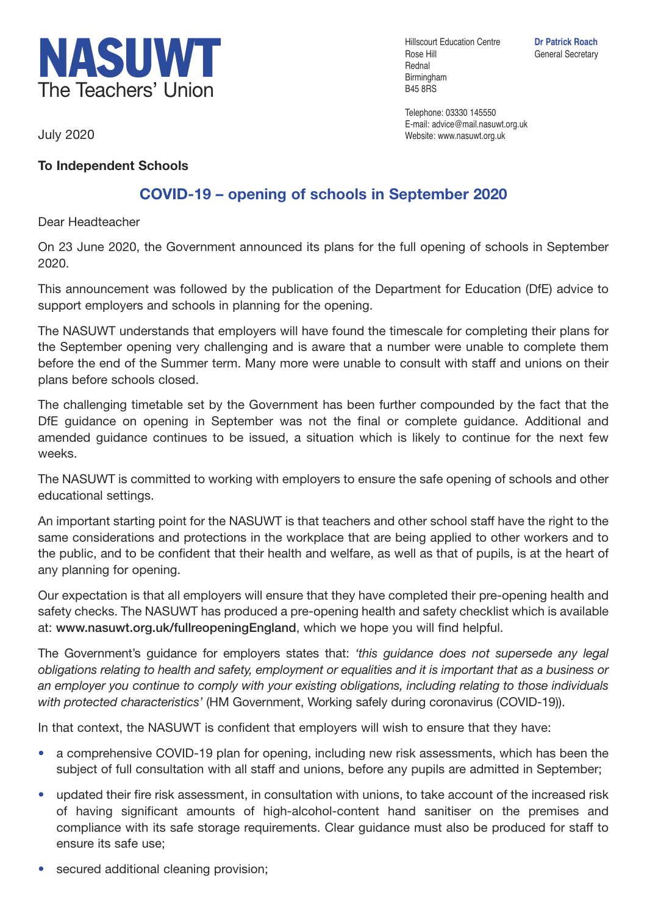

July 2020

## **To Independent Schools**

## **COVID-19 – opening of schools in September 2020**

Dear Headteacher

On 23 June 2020, the Government announced its plans for the full opening of schools in September 2020.

This announcement was followed by the publication of the Department for Education (DfE) advice to support employers and schools in planning for the opening.

The NASUWT understands that employers will have found the timescale for completing their plans for the September opening very challenging and is aware that a number were unable to complete them before the end of the Summer term. Many more were unable to consult with staff and unions on their plans before schools closed.

The challenging timetable set by the Government has been further compounded by the fact that the DfE guidance on opening in September was not the final or complete guidance. Additional and amended guidance continues to be issued, a situation which is likely to continue for the next few weeks.

The NASUWT is committed to working with employers to ensure the safe opening of schools and other educational settings.

An important starting point for the NASUWT is that teachers and other school staff have the right to the same considerations and protections in the workplace that are being applied to other workers and to the public, and to be confident that their health and welfare, as well as that of pupils, is at the heart of any planning for opening.

Our expectation is that all employers will ensure that they have completed their pre-opening health and safety checks. The NASUWT has produced a pre-opening health and safety checklist which is available at: **www.nasuwt.org.uk/fullreopeningEngland**, which we hope you will find helpful.

The Government's guidance for employers states that: *'this guidance does not supersede any legal obligations relating to health and safety, employment or equalities and it is important that as a business or an employer you continue to comply with your existing obligations, including relating to those individuals with protected characteristics'* (HM Government, Working safely during coronavirus (COVID-19)).

In that context, the NASUWT is confident that employers will wish to ensure that they have:

- a comprehensive COVID-19 plan for opening, including new risk assessments, which has been the subject of full consultation with all staff and unions, before any pupils are admitted in September;
- updated their fire risk assessment, in consultation with unions, to take account of the increased risk of having significant amounts of high-alcohol-content hand sanitiser on the premises and compliance with its safe storage requirements. Clear guidance must also be produced for staff to ensure its safe use;
- secured additional cleaning provision;

Hillscourt Education Centre **Dr Patrick Roach** Rose Hill General Secretary Rednal Birmingham B45 8RS

Telephone: 03330 145550 E-mail: advice@mail.nasuwt.org.uk Website: www.nasuwt.org.uk